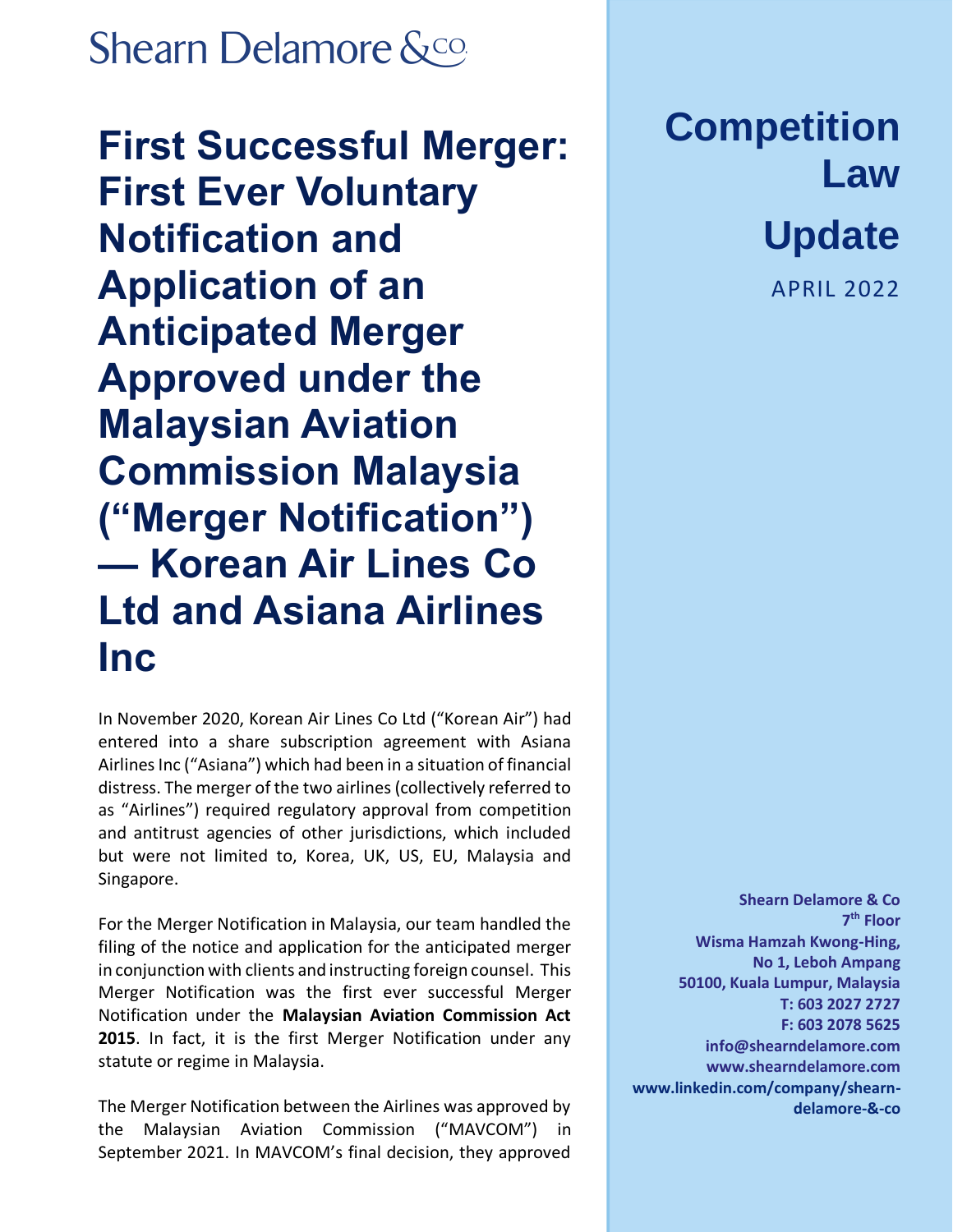## **Shearn Delamore &co.**

**First Successful Merger: First Ever Voluntary Notification and Application of an Anticipated Merger Approved under the Malaysian Aviation Commission Malaysia ("Merger Notification") — Korean Air Lines Co Ltd and Asiana Airlines Inc**

In November 2020, Korean Air Lines Co Ltd ("Korean Air") had entered into a share subscription agreement with Asiana Airlines Inc ("Asiana") which had been in a situation of financial distress. The merger of the two airlines (collectively referred to as "Airlines") required regulatory approval from competition and antitrust agencies of other jurisdictions, which included but were not limited to, Korea, UK, US, EU, Malaysia and Singapore.

For the Merger Notification in Malaysia, our team handled the filing of the notice and application for the anticipated merger in conjunction with clients and instructing foreign counsel. This Merger Notification was the first ever successful Merger Notification under the **Malaysian Aviation Commission Act 2015**. In fact, it is the first Merger Notification under any statute or regime in Malaysia.

The Merger Notification between the Airlines was approved by the Malaysian Aviation Commission ("MAVCOM") in September 2021. In MAVCOM's final decision, they approved

## **Competition Law**

## **Update**

APRIL 2022

**Shearn Delamore & Co 7 th Floor Wisma Hamzah Kwong-Hing, No 1, Leboh Ampang 50100, Kuala Lumpur, Malaysia T: 603 2027 2727 F: 603 2078 5625 [info@shearndelamore.com](mailto:info@shearndelamore.com) [www.shearndelamore.com](http://www.shearndelamore.com/) www.linkedin.com/company/shearndelamore-&-co**